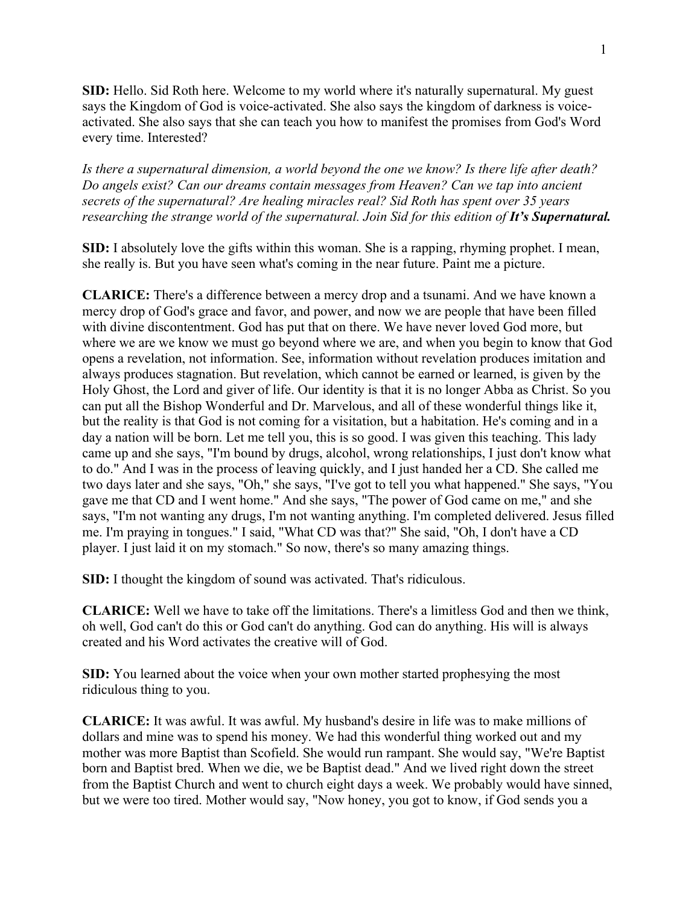**SID:** Hello. Sid Roth here. Welcome to my world where it's naturally supernatural. My guest says the Kingdom of God is voice-activated. She also says the kingdom of darkness is voiceactivated. She also says that she can teach you how to manifest the promises from God's Word every time. Interested?

*Is there a supernatural dimension, a world beyond the one we know? Is there life after death? Do angels exist? Can our dreams contain messages from Heaven? Can we tap into ancient secrets of the supernatural? Are healing miracles real? Sid Roth has spent over 35 years researching the strange world of the supernatural. Join Sid for this edition of It's Supernatural.* 

**SID:** I absolutely love the gifts within this woman. She is a rapping, rhyming prophet. I mean, she really is. But you have seen what's coming in the near future. Paint me a picture.

**CLARICE:** There's a difference between a mercy drop and a tsunami. And we have known a mercy drop of God's grace and favor, and power, and now we are people that have been filled with divine discontentment. God has put that on there. We have never loved God more, but where we are we know we must go beyond where we are, and when you begin to know that God opens a revelation, not information. See, information without revelation produces imitation and always produces stagnation. But revelation, which cannot be earned or learned, is given by the Holy Ghost, the Lord and giver of life. Our identity is that it is no longer Abba as Christ. So you can put all the Bishop Wonderful and Dr. Marvelous, and all of these wonderful things like it, but the reality is that God is not coming for a visitation, but a habitation. He's coming and in a day a nation will be born. Let me tell you, this is so good. I was given this teaching. This lady came up and she says, "I'm bound by drugs, alcohol, wrong relationships, I just don't know what to do." And I was in the process of leaving quickly, and I just handed her a CD. She called me two days later and she says, "Oh," she says, "I've got to tell you what happened." She says, "You gave me that CD and I went home." And she says, "The power of God came on me," and she says, "I'm not wanting any drugs, I'm not wanting anything. I'm completed delivered. Jesus filled me. I'm praying in tongues." I said, "What CD was that?" She said, "Oh, I don't have a CD player. I just laid it on my stomach." So now, there's so many amazing things.

**SID:** I thought the kingdom of sound was activated. That's ridiculous.

**CLARICE:** Well we have to take off the limitations. There's a limitless God and then we think, oh well, God can't do this or God can't do anything. God can do anything. His will is always created and his Word activates the creative will of God.

**SID:** You learned about the voice when your own mother started prophesying the most ridiculous thing to you.

**CLARICE:** It was awful. It was awful. My husband's desire in life was to make millions of dollars and mine was to spend his money. We had this wonderful thing worked out and my mother was more Baptist than Scofield. She would run rampant. She would say, "We're Baptist born and Baptist bred. When we die, we be Baptist dead." And we lived right down the street from the Baptist Church and went to church eight days a week. We probably would have sinned, but we were too tired. Mother would say, "Now honey, you got to know, if God sends you a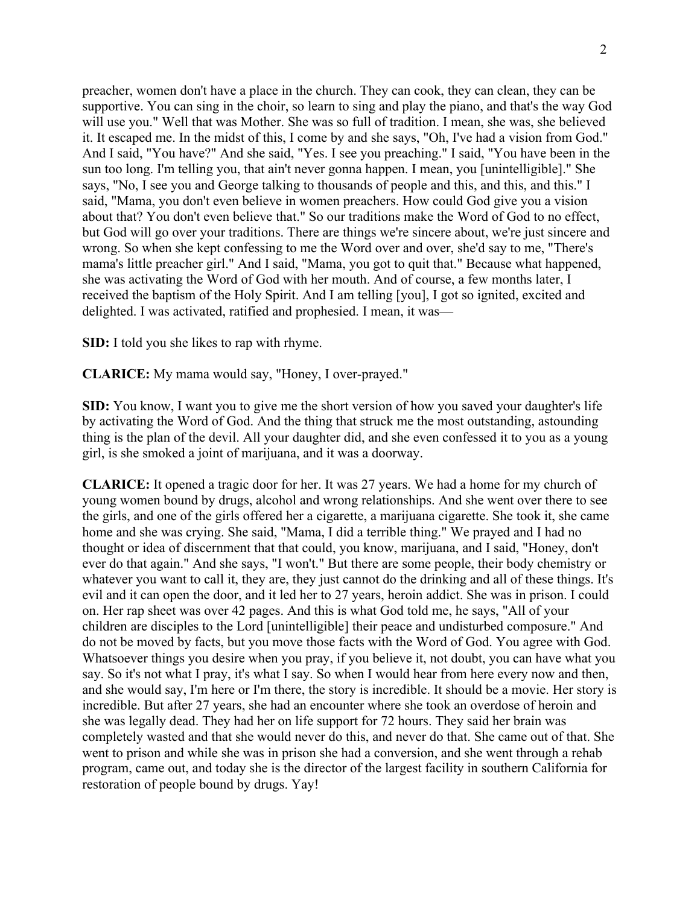preacher, women don't have a place in the church. They can cook, they can clean, they can be supportive. You can sing in the choir, so learn to sing and play the piano, and that's the way God will use you." Well that was Mother. She was so full of tradition. I mean, she was, she believed it. It escaped me. In the midst of this, I come by and she says, "Oh, I've had a vision from God." And I said, "You have?" And she said, "Yes. I see you preaching." I said, "You have been in the sun too long. I'm telling you, that ain't never gonna happen. I mean, you [unintelligible]." She says, "No, I see you and George talking to thousands of people and this, and this, and this." I said, "Mama, you don't even believe in women preachers. How could God give you a vision about that? You don't even believe that." So our traditions make the Word of God to no effect, but God will go over your traditions. There are things we're sincere about, we're just sincere and wrong. So when she kept confessing to me the Word over and over, she'd say to me, "There's mama's little preacher girl." And I said, "Mama, you got to quit that." Because what happened, she was activating the Word of God with her mouth. And of course, a few months later, I received the baptism of the Holy Spirit. And I am telling [you], I got so ignited, excited and delighted. I was activated, ratified and prophesied. I mean, it was—

**SID:** I told you she likes to rap with rhyme.

**CLARICE:** My mama would say, "Honey, I over-prayed."

**SID:** You know, I want you to give me the short version of how you saved your daughter's life by activating the Word of God. And the thing that struck me the most outstanding, astounding thing is the plan of the devil. All your daughter did, and she even confessed it to you as a young girl, is she smoked a joint of marijuana, and it was a doorway.

**CLARICE:** It opened a tragic door for her. It was 27 years. We had a home for my church of young women bound by drugs, alcohol and wrong relationships. And she went over there to see the girls, and one of the girls offered her a cigarette, a marijuana cigarette. She took it, she came home and she was crying. She said, "Mama, I did a terrible thing." We prayed and I had no thought or idea of discernment that that could, you know, marijuana, and I said, "Honey, don't ever do that again." And she says, "I won't." But there are some people, their body chemistry or whatever you want to call it, they are, they just cannot do the drinking and all of these things. It's evil and it can open the door, and it led her to 27 years, heroin addict. She was in prison. I could on. Her rap sheet was over 42 pages. And this is what God told me, he says, "All of your children are disciples to the Lord [unintelligible] their peace and undisturbed composure." And do not be moved by facts, but you move those facts with the Word of God. You agree with God. Whatsoever things you desire when you pray, if you believe it, not doubt, you can have what you say. So it's not what I pray, it's what I say. So when I would hear from here every now and then, and she would say, I'm here or I'm there, the story is incredible. It should be a movie. Her story is incredible. But after 27 years, she had an encounter where she took an overdose of heroin and she was legally dead. They had her on life support for 72 hours. They said her brain was completely wasted and that she would never do this, and never do that. She came out of that. She went to prison and while she was in prison she had a conversion, and she went through a rehab program, came out, and today she is the director of the largest facility in southern California for restoration of people bound by drugs. Yay!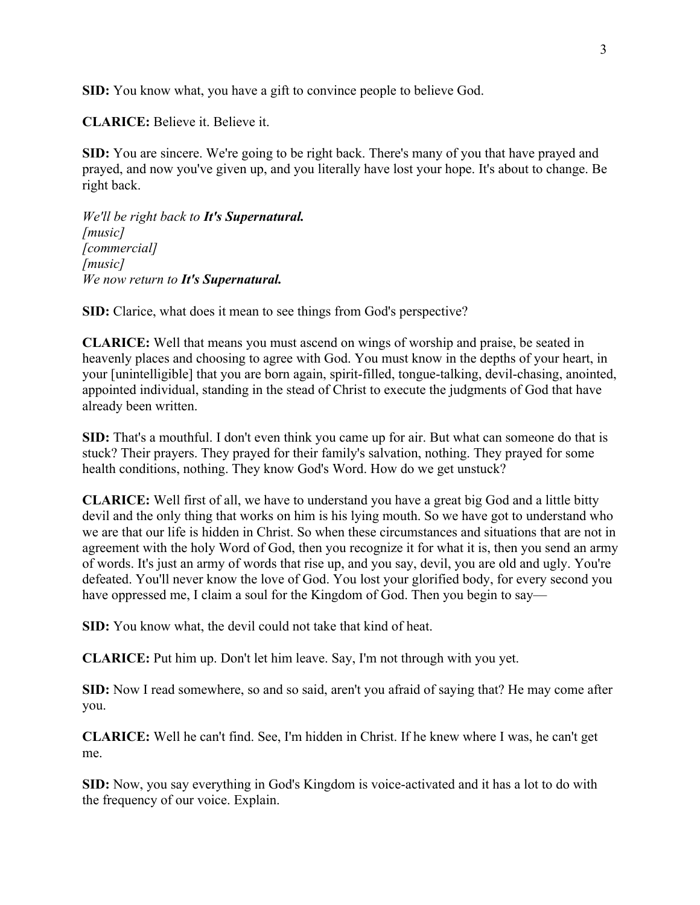**SID:** You know what, you have a gift to convince people to believe God.

**CLARICE:** Believe it. Believe it.

**SID:** You are sincere. We're going to be right back. There's many of you that have prayed and prayed, and now you've given up, and you literally have lost your hope. It's about to change. Be right back.

*We'll be right back to It's Supernatural. [music] [commercial] [music] We now return to It's Supernatural.*

**SID:** Clarice, what does it mean to see things from God's perspective?

**CLARICE:** Well that means you must ascend on wings of worship and praise, be seated in heavenly places and choosing to agree with God. You must know in the depths of your heart, in your [unintelligible] that you are born again, spirit-filled, tongue-talking, devil-chasing, anointed, appointed individual, standing in the stead of Christ to execute the judgments of God that have already been written.

**SID:** That's a mouthful. I don't even think you came up for air. But what can someone do that is stuck? Their prayers. They prayed for their family's salvation, nothing. They prayed for some health conditions, nothing. They know God's Word. How do we get unstuck?

**CLARICE:** Well first of all, we have to understand you have a great big God and a little bitty devil and the only thing that works on him is his lying mouth. So we have got to understand who we are that our life is hidden in Christ. So when these circumstances and situations that are not in agreement with the holy Word of God, then you recognize it for what it is, then you send an army of words. It's just an army of words that rise up, and you say, devil, you are old and ugly. You're defeated. You'll never know the love of God. You lost your glorified body, for every second you have oppressed me, I claim a soul for the Kingdom of God. Then you begin to say—

**SID:** You know what, the devil could not take that kind of heat.

**CLARICE:** Put him up. Don't let him leave. Say, I'm not through with you yet.

**SID:** Now I read somewhere, so and so said, aren't you afraid of saying that? He may come after you.

**CLARICE:** Well he can't find. See, I'm hidden in Christ. If he knew where I was, he can't get me.

**SID:** Now, you say everything in God's Kingdom is voice-activated and it has a lot to do with the frequency of our voice. Explain.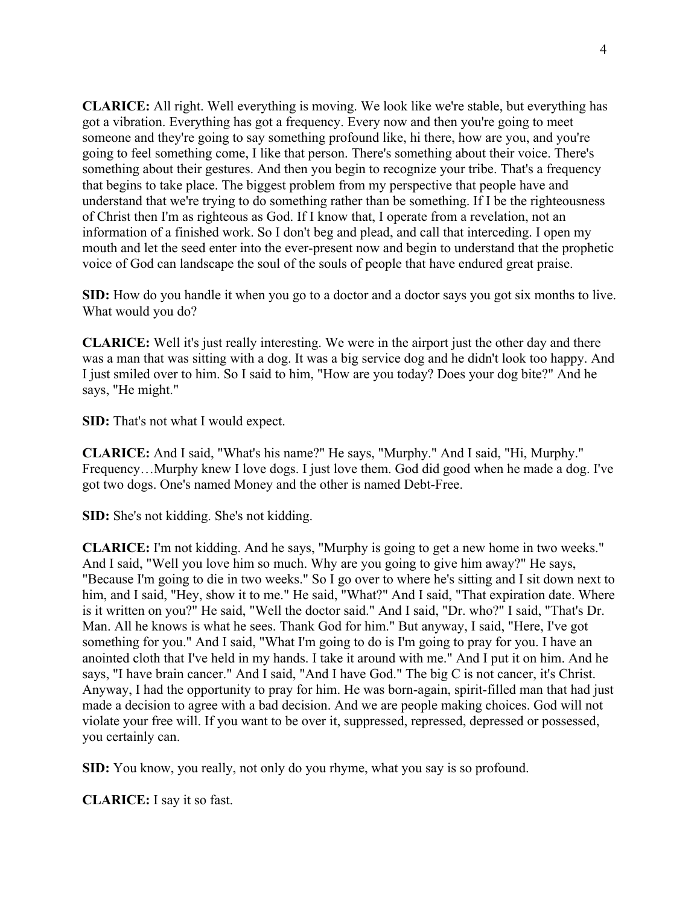**CLARICE:** All right. Well everything is moving. We look like we're stable, but everything has got a vibration. Everything has got a frequency. Every now and then you're going to meet someone and they're going to say something profound like, hi there, how are you, and you're going to feel something come, I like that person. There's something about their voice. There's something about their gestures. And then you begin to recognize your tribe. That's a frequency that begins to take place. The biggest problem from my perspective that people have and understand that we're trying to do something rather than be something. If I be the righteousness of Christ then I'm as righteous as God. If I know that, I operate from a revelation, not an information of a finished work. So I don't beg and plead, and call that interceding. I open my mouth and let the seed enter into the ever-present now and begin to understand that the prophetic voice of God can landscape the soul of the souls of people that have endured great praise.

**SID:** How do you handle it when you go to a doctor and a doctor says you got six months to live. What would you do?

**CLARICE:** Well it's just really interesting. We were in the airport just the other day and there was a man that was sitting with a dog. It was a big service dog and he didn't look too happy. And I just smiled over to him. So I said to him, "How are you today? Does your dog bite?" And he says, "He might."

**SID:** That's not what I would expect.

**CLARICE:** And I said, "What's his name?" He says, "Murphy." And I said, "Hi, Murphy." Frequency…Murphy knew I love dogs. I just love them. God did good when he made a dog. I've got two dogs. One's named Money and the other is named Debt-Free.

**SID:** She's not kidding. She's not kidding.

**CLARICE:** I'm not kidding. And he says, "Murphy is going to get a new home in two weeks." And I said, "Well you love him so much. Why are you going to give him away?" He says, "Because I'm going to die in two weeks." So I go over to where he's sitting and I sit down next to him, and I said, "Hey, show it to me." He said, "What?" And I said, "That expiration date. Where is it written on you?" He said, "Well the doctor said." And I said, "Dr. who?" I said, "That's Dr. Man. All he knows is what he sees. Thank God for him." But anyway, I said, "Here, I've got something for you." And I said, "What I'm going to do is I'm going to pray for you. I have an anointed cloth that I've held in my hands. I take it around with me." And I put it on him. And he says, "I have brain cancer." And I said, "And I have God." The big C is not cancer, it's Christ. Anyway, I had the opportunity to pray for him. He was born-again, spirit-filled man that had just made a decision to agree with a bad decision. And we are people making choices. God will not violate your free will. If you want to be over it, suppressed, repressed, depressed or possessed, you certainly can.

**SID:** You know, you really, not only do you rhyme, what you say is so profound.

**CLARICE:** I say it so fast.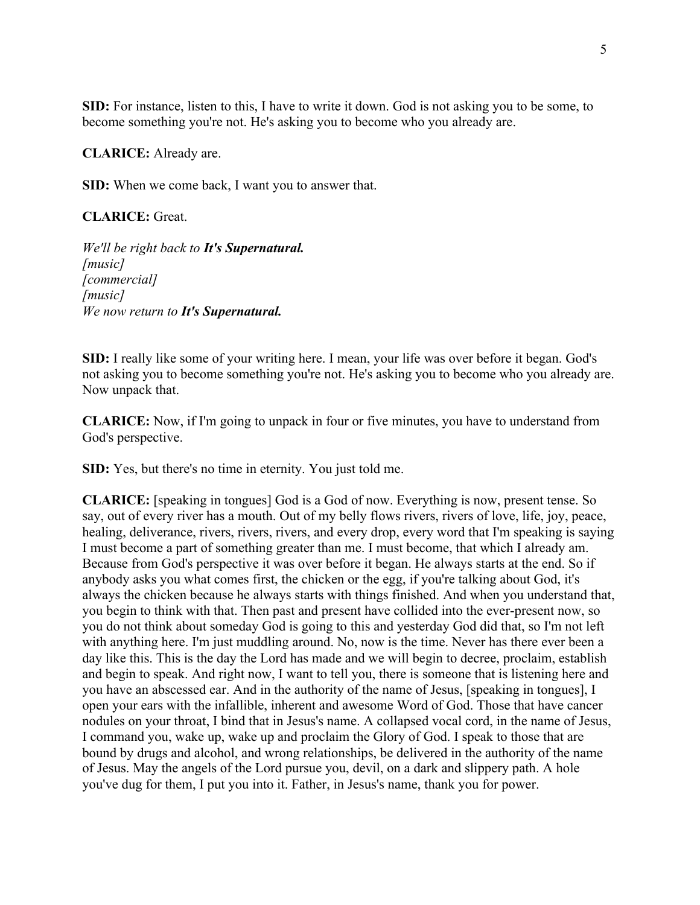**SID:** For instance, listen to this, I have to write it down. God is not asking you to be some, to become something you're not. He's asking you to become who you already are.

**CLARICE:** Already are.

**SID:** When we come back, I want you to answer that.

**CLARICE:** Great.

*We'll be right back to It's Supernatural. [music] [commercial] [music] We now return to It's Supernatural.*

**SID:** I really like some of your writing here. I mean, your life was over before it began. God's not asking you to become something you're not. He's asking you to become who you already are. Now unpack that.

**CLARICE:** Now, if I'm going to unpack in four or five minutes, you have to understand from God's perspective.

**SID:** Yes, but there's no time in eternity. You just told me.

**CLARICE:** [speaking in tongues] God is a God of now. Everything is now, present tense. So say, out of every river has a mouth. Out of my belly flows rivers, rivers of love, life, joy, peace, healing, deliverance, rivers, rivers, rivers, and every drop, every word that I'm speaking is saying I must become a part of something greater than me. I must become, that which I already am. Because from God's perspective it was over before it began. He always starts at the end. So if anybody asks you what comes first, the chicken or the egg, if you're talking about God, it's always the chicken because he always starts with things finished. And when you understand that, you begin to think with that. Then past and present have collided into the ever-present now, so you do not think about someday God is going to this and yesterday God did that, so I'm not left with anything here. I'm just muddling around. No, now is the time. Never has there ever been a day like this. This is the day the Lord has made and we will begin to decree, proclaim, establish and begin to speak. And right now, I want to tell you, there is someone that is listening here and you have an abscessed ear. And in the authority of the name of Jesus, [speaking in tongues], I open your ears with the infallible, inherent and awesome Word of God. Those that have cancer nodules on your throat, I bind that in Jesus's name. A collapsed vocal cord, in the name of Jesus, I command you, wake up, wake up and proclaim the Glory of God. I speak to those that are bound by drugs and alcohol, and wrong relationships, be delivered in the authority of the name of Jesus. May the angels of the Lord pursue you, devil, on a dark and slippery path. A hole you've dug for them, I put you into it. Father, in Jesus's name, thank you for power.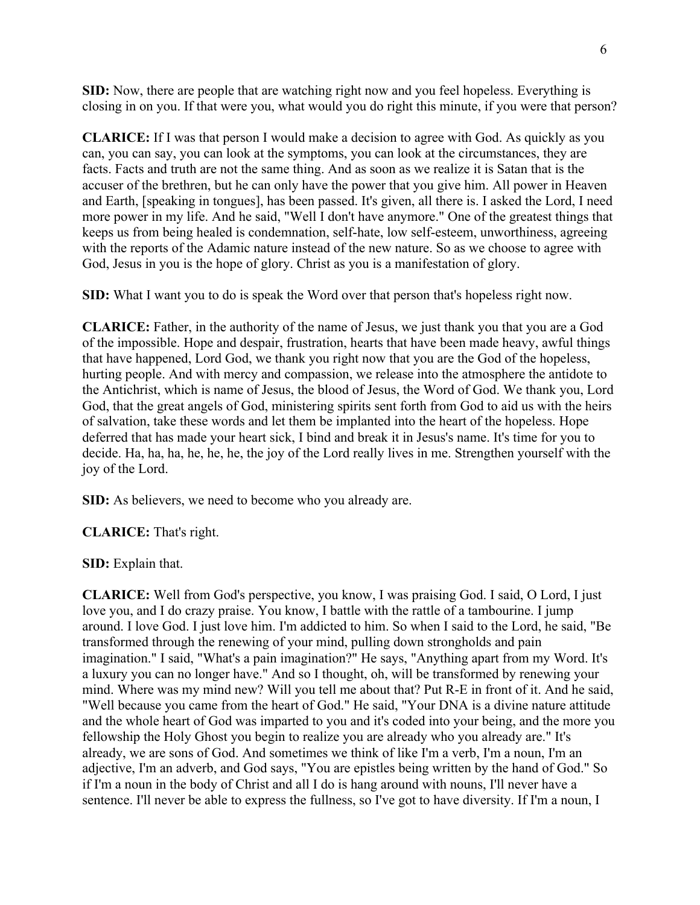**SID:** Now, there are people that are watching right now and you feel hopeless. Everything is closing in on you. If that were you, what would you do right this minute, if you were that person?

**CLARICE:** If I was that person I would make a decision to agree with God. As quickly as you can, you can say, you can look at the symptoms, you can look at the circumstances, they are facts. Facts and truth are not the same thing. And as soon as we realize it is Satan that is the accuser of the brethren, but he can only have the power that you give him. All power in Heaven and Earth, [speaking in tongues], has been passed. It's given, all there is. I asked the Lord, I need more power in my life. And he said, "Well I don't have anymore." One of the greatest things that keeps us from being healed is condemnation, self-hate, low self-esteem, unworthiness, agreeing with the reports of the Adamic nature instead of the new nature. So as we choose to agree with God, Jesus in you is the hope of glory. Christ as you is a manifestation of glory.

**SID:** What I want you to do is speak the Word over that person that's hopeless right now.

**CLARICE:** Father, in the authority of the name of Jesus, we just thank you that you are a God of the impossible. Hope and despair, frustration, hearts that have been made heavy, awful things that have happened, Lord God, we thank you right now that you are the God of the hopeless, hurting people. And with mercy and compassion, we release into the atmosphere the antidote to the Antichrist, which is name of Jesus, the blood of Jesus, the Word of God. We thank you, Lord God, that the great angels of God, ministering spirits sent forth from God to aid us with the heirs of salvation, take these words and let them be implanted into the heart of the hopeless. Hope deferred that has made your heart sick, I bind and break it in Jesus's name. It's time for you to decide. Ha, ha, ha, he, he, he, the joy of the Lord really lives in me. Strengthen yourself with the joy of the Lord.

**SID:** As believers, we need to become who you already are.

**CLARICE:** That's right.

**SID:** Explain that.

**CLARICE:** Well from God's perspective, you know, I was praising God. I said, O Lord, I just love you, and I do crazy praise. You know, I battle with the rattle of a tambourine. I jump around. I love God. I just love him. I'm addicted to him. So when I said to the Lord, he said, "Be transformed through the renewing of your mind, pulling down strongholds and pain imagination." I said, "What's a pain imagination?" He says, "Anything apart from my Word. It's a luxury you can no longer have." And so I thought, oh, will be transformed by renewing your mind. Where was my mind new? Will you tell me about that? Put R-E in front of it. And he said, "Well because you came from the heart of God." He said, "Your DNA is a divine nature attitude and the whole heart of God was imparted to you and it's coded into your being, and the more you fellowship the Holy Ghost you begin to realize you are already who you already are." It's already, we are sons of God. And sometimes we think of like I'm a verb, I'm a noun, I'm an adjective, I'm an adverb, and God says, "You are epistles being written by the hand of God." So if I'm a noun in the body of Christ and all I do is hang around with nouns, I'll never have a sentence. I'll never be able to express the fullness, so I've got to have diversity. If I'm a noun, I